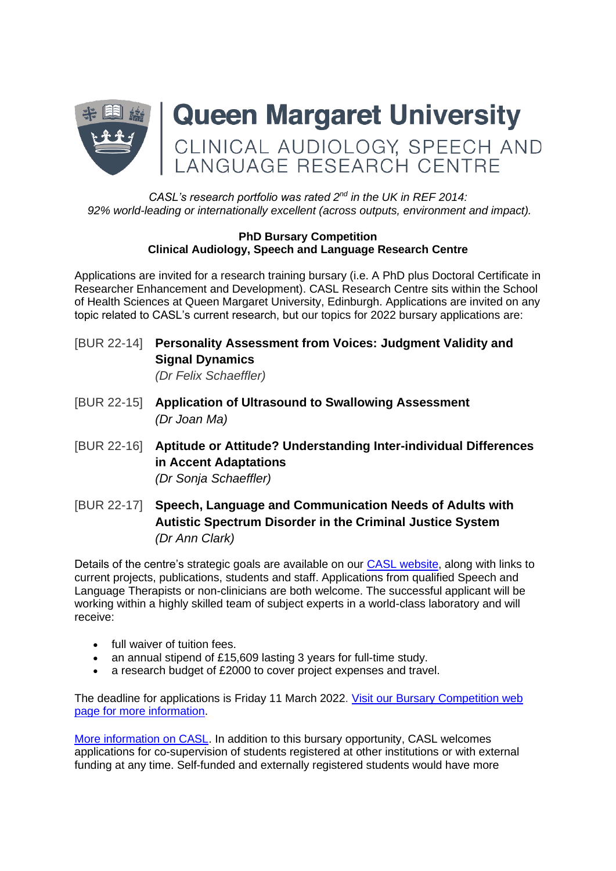

## *CASL's research portfolio was rated 2<sup>nd</sup> in the UK in REF 2014: 92% world-leading or internationally excellent (across outputs, environment and impact).*

#### **PhD Bursary Competition Clinical Audiology, Speech and Language Research Centre**

Applications are invited for a research training bursary (i.e. A PhD plus Doctoral Certificate in Researcher Enhancement and Development). CASL Research Centre sits within the School of Health Sciences at Queen Margaret University, Edinburgh. Applications are invited on any topic related to CASL's current research, but our topics for 2022 bursary applications are:

- [BUR 22-14] **Personality Assessment from Voices: Judgment Validity and Signal Dynamics**  *(Dr Felix Schaeffler)*
- [BUR 22-15] **Application of Ultrasound to Swallowing Assessment** *(Dr Joan Ma)*
- [BUR 22-16] **Aptitude or Attitude? Understanding Inter-individual Differences in Accent Adaptations** *(Dr Sonja Schaeffler)*
- [BUR 22-17] **Speech, Language and Communication Needs of Adults with Autistic Spectrum Disorder in the Criminal Justice System** *(Dr Ann Clark)*

Details of the centre's strategic goals are available on our [CASL website,](https://www.qmu.ac.uk/research-and-knowledge-exchange/research-centres-institutes-and-knowledge-exchange-centres/clinical-audiology-speech-and-language-research-centre/) along with links to current projects, publications, students and staff. Applications from qualified Speech and Language Therapists or non-clinicians are both welcome. The successful applicant will be working within a highly skilled team of subject experts in a world-class laboratory and will receive:

- full waiver of tuition fees.
- an annual stipend of £15,609 lasting 3 years for full-time study.
- a research budget of £2000 to cover project expenses and travel.

The deadline for applications is Friday 11 March 2022. [Visit our Bursary Competition web](https://www.qmu.ac.uk/study-here/postgraduate-research-study/graduate-school-and-doctoral-research/phd-bursary-competition/)  [page for more information.](https://www.qmu.ac.uk/study-here/postgraduate-research-study/graduate-school-and-doctoral-research/phd-bursary-competition/)

[More information on CASL.](https://www.qmu.ac.uk/research-and-knowledge-exchange/research-centres-institutes-and-knowledge-exchange-centres/clinical-audiology-speech-and-language-research-centre/) In addition to this bursary opportunity, CASL welcomes applications for co-supervision of students registered at other institutions or with external funding at any time. Self-funded and externally registered students would have more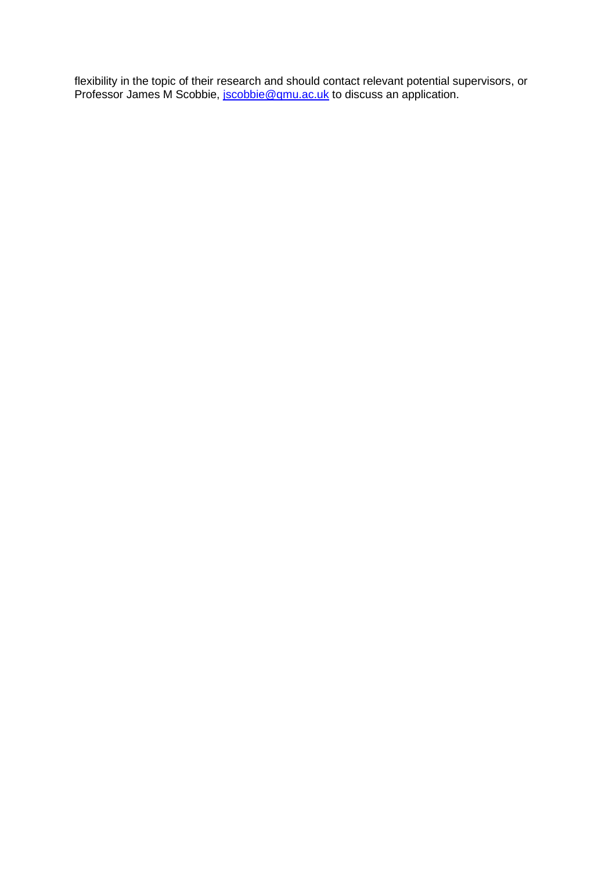flexibility in the topic of their research and should contact relevant potential supervisors, or Professor James M Scobbie, *jscobbie@qmu.ac.uk* to discuss an application.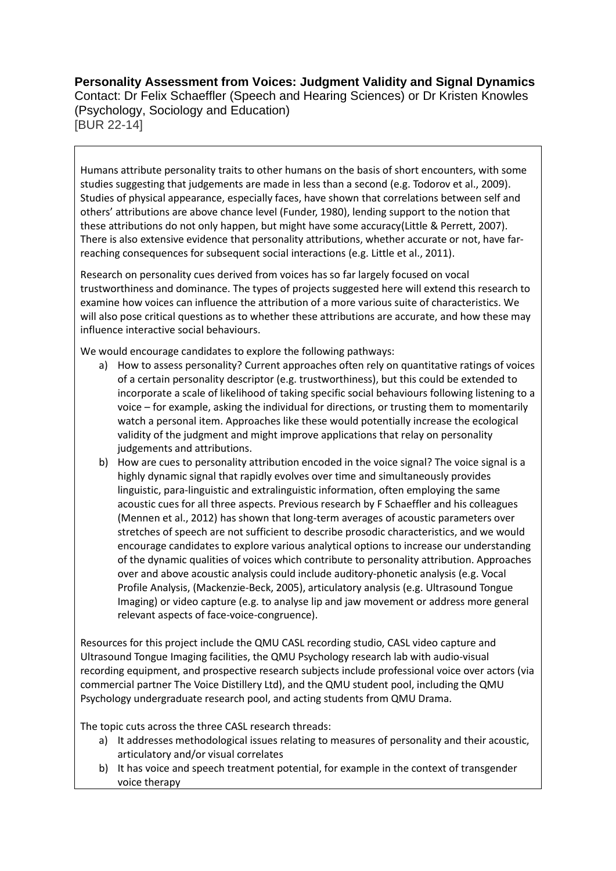# **Personality Assessment from Voices: Judgment Validity and Signal Dynamics** Contact: Dr Felix Schaeffler (Speech and Hearing Sciences) or Dr Kristen Knowles (Psychology, Sociology and Education) [BUR 22-14]

Humans attribute personality traits to other humans on the basis of short encounters, with some studies suggesting that judgements are made in less than a second (e.g. Todorov et al., 2009). Studies of physical appearance, especially faces, have shown that correlations between self and others' attributions are above chance level (Funder, 1980), lending support to the notion that these attributions do not only happen, but might have some accuracy(Little & Perrett, 2007). There is also extensive evidence that personality attributions, whether accurate or not, have farreaching consequences for subsequent social interactions (e.g. Little et al., 2011).

Research on personality cues derived from voices has so far largely focused on vocal trustworthiness and dominance. The types of projects suggested here will extend this research to examine how voices can influence the attribution of a more various suite of characteristics. We will also pose critical questions as to whether these attributions are accurate, and how these may influence interactive social behaviours.

We would encourage candidates to explore the following pathways:

- a) How to assess personality? Current approaches often rely on quantitative ratings of voices of a certain personality descriptor (e.g. trustworthiness), but this could be extended to incorporate a scale of likelihood of taking specific social behaviours following listening to a voice – for example, asking the individual for directions, or trusting them to momentarily watch a personal item. Approaches like these would potentially increase the ecological validity of the judgment and might improve applications that relay on personality judgements and attributions.
- b) How are cues to personality attribution encoded in the voice signal? The voice signal is a highly dynamic signal that rapidly evolves over time and simultaneously provides linguistic, para-linguistic and extralinguistic information, often employing the same acoustic cues for all three aspects. Previous research by F Schaeffler and his colleagues (Mennen et al., 2012) has shown that long-term averages of acoustic parameters over stretches of speech are not sufficient to describe prosodic characteristics, and we would encourage candidates to explore various analytical options to increase our understanding of the dynamic qualities of voices which contribute to personality attribution. Approaches over and above acoustic analysis could include auditory-phonetic analysis (e.g. Vocal Profile Analysis, (Mackenzie-Beck, 2005), articulatory analysis (e.g. Ultrasound Tongue Imaging) or video capture (e.g. to analyse lip and jaw movement or address more general relevant aspects of face-voice-congruence).

Resources for this project include the QMU CASL recording studio, CASL video capture and Ultrasound Tongue Imaging facilities, the QMU Psychology research lab with audio-visual recording equipment, and prospective research subjects include professional voice over actors (via commercial partner The Voice Distillery Ltd), and the QMU student pool, including the QMU Psychology undergraduate research pool, and acting students from QMU Drama.

The topic cuts across the three CASL research threads:

- a) It addresses methodological issues relating to measures of personality and their acoustic, articulatory and/or visual correlates
- b) It has voice and speech treatment potential, for example in the context of transgender voice therapy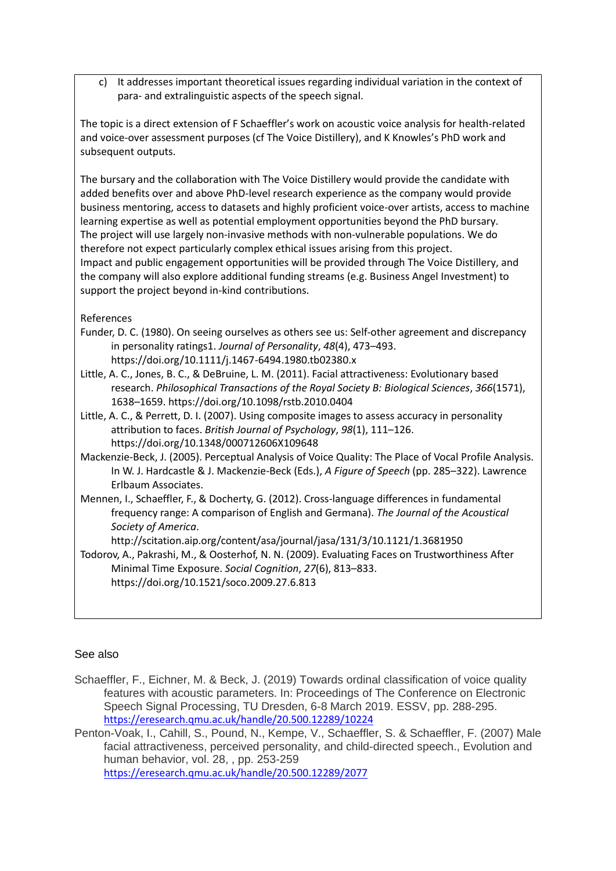c) It addresses important theoretical issues regarding individual variation in the context of para- and extralinguistic aspects of the speech signal.

The topic is a direct extension of F Schaeffler's work on acoustic voice analysis for health-related and voice-over assessment purposes (cf The Voice Distillery), and K Knowles's PhD work and subsequent outputs.

The bursary and the collaboration with The Voice Distillery would provide the candidate with added benefits over and above PhD-level research experience as the company would provide business mentoring, access to datasets and highly proficient voice-over artists, access to machine learning expertise as well as potential employment opportunities beyond the PhD bursary. The project will use largely non-invasive methods with non-vulnerable populations. We do therefore not expect particularly complex ethical issues arising from this project. Impact and public engagement opportunities will be provided through The Voice Distillery, and the company will also explore additional funding streams (e.g. Business Angel Investment) to support the project beyond in-kind contributions.

## References

- Funder, D. C. (1980). On seeing ourselves as others see us: Self-other agreement and discrepancy in personality ratings1. *Journal of Personality*, *48*(4), 473–493. https://doi.org/10.1111/j.1467-6494.1980.tb02380.x
- Little, A. C., Jones, B. C., & DeBruine, L. M. (2011). Facial attractiveness: Evolutionary based research. *Philosophical Transactions of the Royal Society B: Biological Sciences*, *366*(1571), 1638–1659. https://doi.org/10.1098/rstb.2010.0404
- Little, A. C., & Perrett, D. I. (2007). Using composite images to assess accuracy in personality attribution to faces. *British Journal of Psychology*, *98*(1), 111–126. https://doi.org/10.1348/000712606X109648
- Mackenzie-Beck, J. (2005). Perceptual Analysis of Voice Quality: The Place of Vocal Profile Analysis. In W. J. Hardcastle & J. Mackenzie-Beck (Eds.), *A Figure of Speech* (pp. 285–322). Lawrence Erlbaum Associates.
- Mennen, I., Schaeffler, F., & Docherty, G. (2012). Cross-language differences in fundamental frequency range: A comparison of English and Germana). *The Journal of the Acoustical Society of America*.

http://scitation.aip.org/content/asa/journal/jasa/131/3/10.1121/1.3681950

Todorov, A., Pakrashi, M., & Oosterhof, N. N. (2009). Evaluating Faces on Trustworthiness After Minimal Time Exposure. *Social Cognition*, *27*(6), 813–833. https://doi.org/10.1521/soco.2009.27.6.813

## See also

- Schaeffler, F., Eichner, M. & Beck, J. (2019) Towards ordinal classification of voice quality features with acoustic parameters. In: Proceedings of The Conference on Electronic Speech Signal Processing, TU Dresden, 6-8 March 2019. ESSV, pp. 288-295. <https://eresearch.qmu.ac.uk/handle/20.500.12289/10224>
- Penton-Voak, I., Cahill, S., Pound, N., Kempe, V., Schaeffler, S. & Schaeffler, F. (2007) Male facial attractiveness, perceived personality, and child-directed speech., Evolution and human behavior, vol. 28, , pp. 253-259 <https://eresearch.qmu.ac.uk/handle/20.500.12289/2077>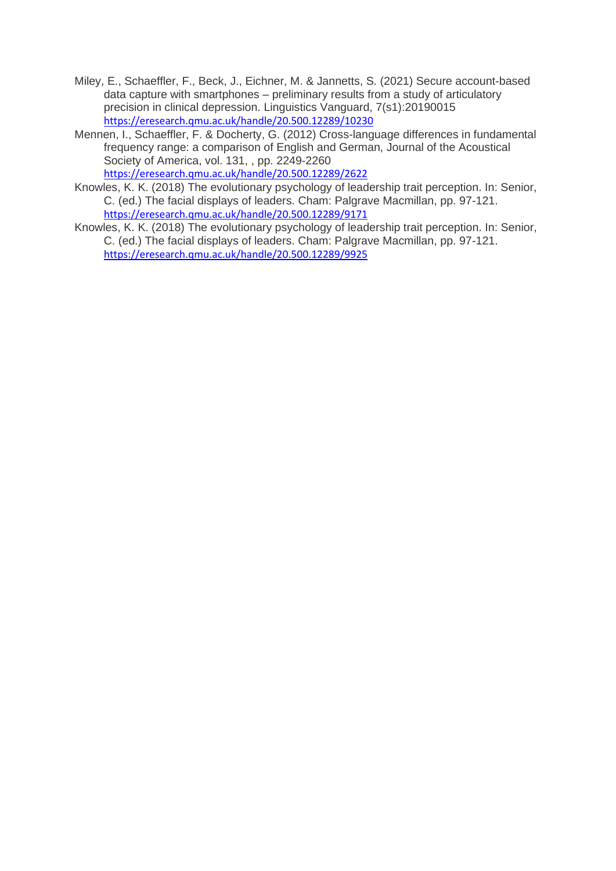- Miley, E., Schaeffler, F., Beck, J., Eichner, M. & Jannetts, S. (2021) Secure account-based data capture with smartphones – preliminary results from a study of articulatory precision in clinical depression. Linguistics Vanguard, 7(s1):20190015 <https://eresearch.qmu.ac.uk/handle/20.500.12289/10230>
- Mennen, I., Schaeffler, F. & Docherty, G. (2012) Cross-language differences in fundamental frequency range: a comparison of English and German, Journal of the Acoustical Society of America, vol. 131, , pp. 2249-2260 <https://eresearch.qmu.ac.uk/handle/20.500.12289/2622>
- Knowles, K. K. (2018) The evolutionary psychology of leadership trait perception. In: Senior, C. (ed.) The facial displays of leaders. Cham: Palgrave Macmillan, pp. 97-121. <https://eresearch.qmu.ac.uk/handle/20.500.12289/9171>
- Knowles, K. K. (2018) The evolutionary psychology of leadership trait perception. In: Senior, C. (ed.) The facial displays of leaders. Cham: Palgrave Macmillan, pp. 97-121. <https://eresearch.qmu.ac.uk/handle/20.500.12289/9925>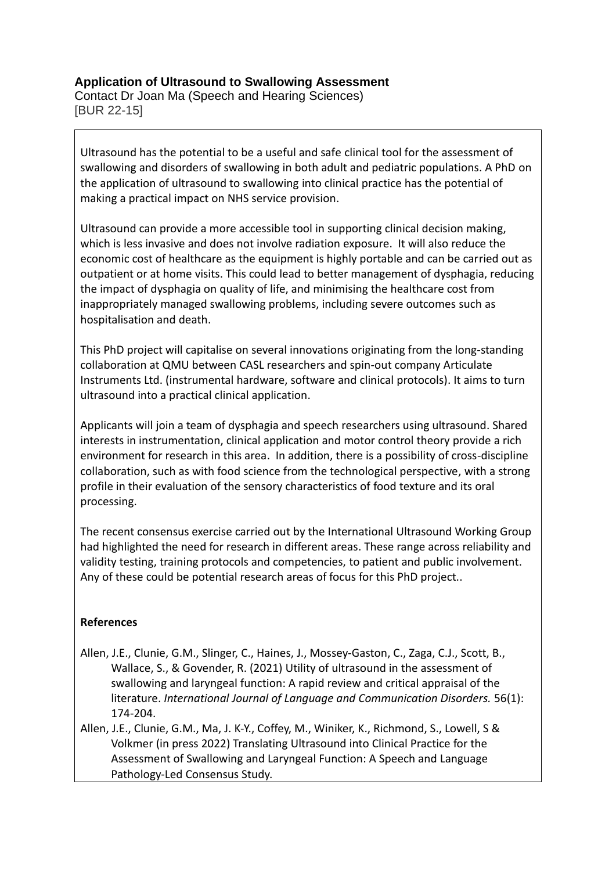# **Application of Ultrasound to Swallowing Assessment**

Contact Dr Joan Ma (Speech and Hearing Sciences) [BUR 22-15]

Ultrasound has the potential to be a useful and safe clinical tool for the assessment of swallowing and disorders of swallowing in both adult and pediatric populations. A PhD on the application of ultrasound to swallowing into clinical practice has the potential of making a practical impact on NHS service provision.

Ultrasound can provide a more accessible tool in supporting clinical decision making, which is less invasive and does not involve radiation exposure. It will also reduce the economic cost of healthcare as the equipment is highly portable and can be carried out as outpatient or at home visits. This could lead to better management of dysphagia, reducing the impact of dysphagia on quality of life, and minimising the healthcare cost from inappropriately managed swallowing problems, including severe outcomes such as hospitalisation and death.

This PhD project will capitalise on several innovations originating from the long-standing collaboration at QMU between CASL researchers and spin-out company Articulate Instruments Ltd. (instrumental hardware, software and clinical protocols). It aims to turn ultrasound into a practical clinical application.

Applicants will join a team of dysphagia and speech researchers using ultrasound. Shared interests in instrumentation, clinical application and motor control theory provide a rich environment for research in this area. In addition, there is a possibility of cross-discipline collaboration, such as with food science from the technological perspective, with a strong profile in their evaluation of the sensory characteristics of food texture and its oral processing.

The recent consensus exercise carried out by the International Ultrasound Working Group had highlighted the need for research in different areas. These range across reliability and validity testing, training protocols and competencies, to patient and public involvement. Any of these could be potential research areas of focus for this PhD project..

## **References**

- Allen, J.E., Clunie, G.M., Slinger, C., Haines, J., Mossey-Gaston, C., Zaga, C.J., Scott, B., Wallace, S., & Govender, R. (2021) Utility of ultrasound in the assessment of swallowing and laryngeal function: A rapid review and critical appraisal of the literature. *International Journal of Language and Communication Disorders.* 56(1): 174-204.
- Allen, J.E., Clunie, G.M., Ma, J. K-Y., Coffey, M., Winiker, K., Richmond, S., Lowell, S & Volkmer (in press 2022) Translating Ultrasound into Clinical Practice for the Assessment of Swallowing and Laryngeal Function: A Speech and Language Pathology-Led Consensus Study.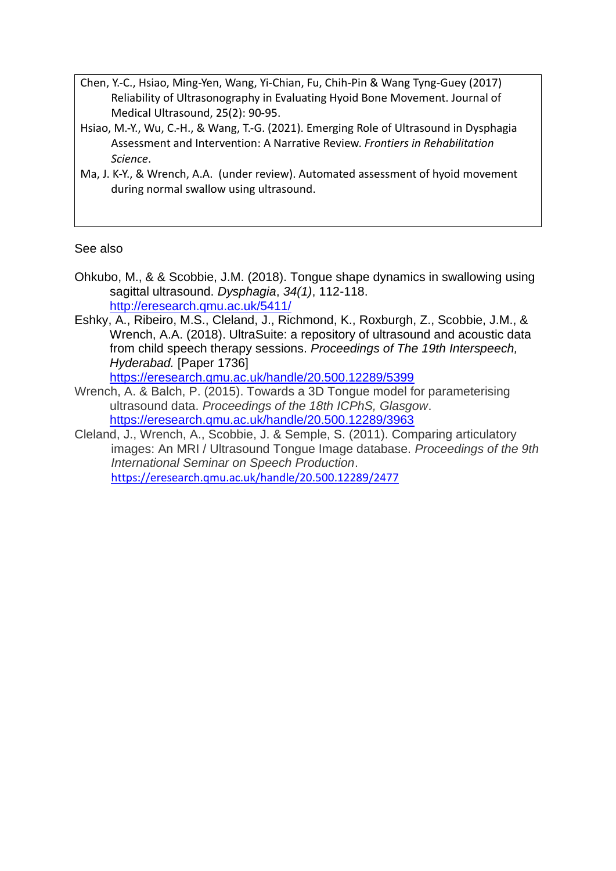- Chen, Y.-C., Hsiao, Ming-Yen, Wang, Yi-Chian, Fu, Chih-Pin & Wang Tyng-Guey (2017) Reliability of Ultrasonography in Evaluating Hyoid Bone Movement. Journal of Medical Ultrasound, 25(2): 90-95.
- Hsiao, M.-Y., Wu, C.-H., & Wang, T.-G. (2021). Emerging Role of Ultrasound in Dysphagia Assessment and Intervention: A Narrative Review. *Frontiers in Rehabilitation Science*.
- Ma, J. K-Y., & Wrench, A.A. (under review). Automated assessment of hyoid movement during normal swallow using ultrasound.

## See also

- Ohkubo, M., & & Scobbie, J.M. (2018). Tongue shape dynamics in swallowing using sagittal ultrasound. *Dysphagia*, *34(1)*, 112-118. <http://eresearch.qmu.ac.uk/5411/>
- Eshky, A., Ribeiro, M.S., Cleland, J., Richmond, K., Roxburgh, Z., Scobbie, J.M., & Wrench, A.A. (2018). UltraSuite: a repository of ultrasound and acoustic data from child speech therapy sessions. *Proceedings of The 19th Interspeech, Hyderabad.* [Paper 1736]

<https://eresearch.qmu.ac.uk/handle/20.500.12289/5399>

- Wrench, A. & Balch, P. (2015). Towards a 3D Tongue model for parameterising ultrasound data. *Proceedings of the 18th ICPhS, Glasgow*. <https://eresearch.qmu.ac.uk/handle/20.500.12289/3963>
- Cleland, J., Wrench, A., Scobbie, J. & Semple, S. (2011). Comparing articulatory images: An MRI / Ultrasound Tongue Image database. *Proceedings of the 9th International Seminar on Speech Production*. <https://eresearch.qmu.ac.uk/handle/20.500.12289/2477>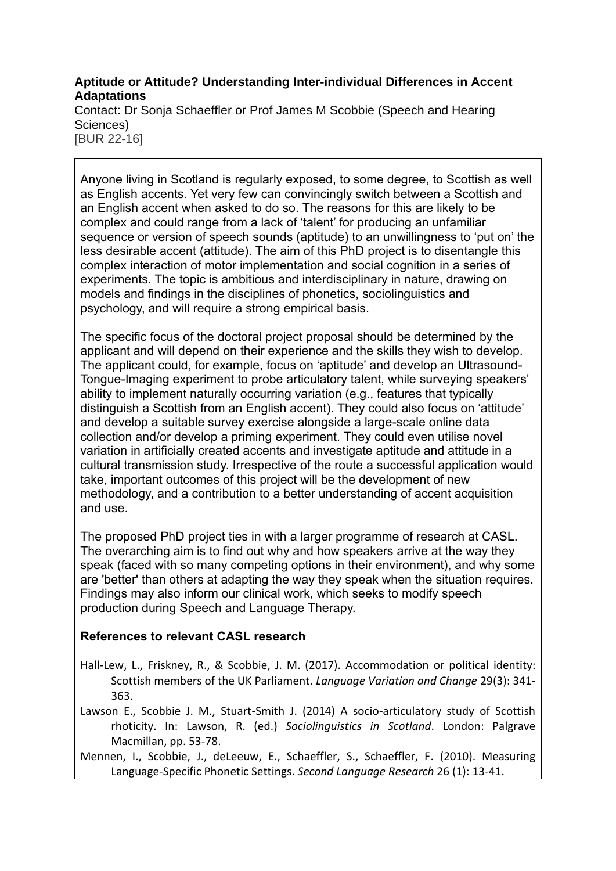# **Aptitude or Attitude? Understanding Inter-individual Differences in Accent Adaptations**

Contact: Dr Sonja Schaeffler or Prof James M Scobbie (Speech and Hearing Sciences) [BUR 22-16]

Anyone living in Scotland is regularly exposed, to some degree, to Scottish as well as English accents. Yet very few can convincingly switch between a Scottish and an English accent when asked to do so. The reasons for this are likely to be complex and could range from a lack of 'talent' for producing an unfamiliar sequence or version of speech sounds (aptitude) to an unwillingness to 'put on' the less desirable accent (attitude). The aim of this PhD project is to disentangle this complex interaction of motor implementation and social cognition in a series of experiments. The topic is ambitious and interdisciplinary in nature, drawing on models and findings in the disciplines of phonetics, sociolinguistics and psychology, and will require a strong empirical basis.

The specific focus of the doctoral project proposal should be determined by the applicant and will depend on their experience and the skills they wish to develop. The applicant could, for example, focus on 'aptitude' and develop an Ultrasound-Tongue-Imaging experiment to probe articulatory talent, while surveying speakers' ability to implement naturally occurring variation (e.g., features that typically distinguish a Scottish from an English accent). They could also focus on 'attitude' and develop a suitable survey exercise alongside a large-scale online data collection and/or develop a priming experiment. They could even utilise novel variation in artificially created accents and investigate aptitude and attitude in a cultural transmission study. Irrespective of the route a successful application would take, important outcomes of this project will be the development of new methodology, and a contribution to a better understanding of accent acquisition and use.

The proposed PhD project ties in with a larger programme of research at CASL. The overarching aim is to find out why and how speakers arrive at the way they speak (faced with so many competing options in their environment), and why some are 'better' than others at adapting the way they speak when the situation requires. Findings may also inform our clinical work, which seeks to modify speech production during Speech and Language Therapy.

# **References to relevant CASL research**

- Hall-Lew, L., Friskney, R., & Scobbie, J. M. (2017). Accommodation or political identity: Scottish members of the UK Parliament. *Language Variation and Change* 29(3): 341- 363.
- Lawson E., Scobbie J. M., Stuart-Smith J. (2014) A socio-articulatory study of Scottish rhoticity. In: Lawson, R. (ed.) *Sociolinguistics in Scotland*. London: Palgrave Macmillan, pp. 53-78.
- Mennen, I., Scobbie, J., deLeeuw, E., Schaeffler, S., Schaeffler, F. (2010). Measuring Language-Specific Phonetic Settings. *Second Language Research* 26 (1): 13-41.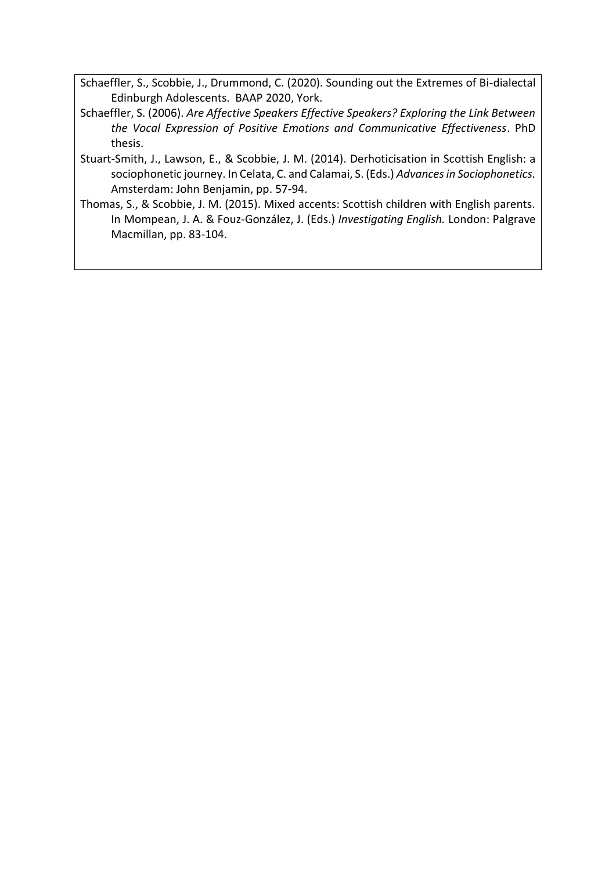Schaeffler, S., Scobbie, J., Drummond, C. (2020). Sounding out the Extremes of Bi-dialectal Edinburgh Adolescents. BAAP 2020, York.

- Schaeffler, S. (2006). *Are Affective Speakers Effective Speakers? Exploring the Link Between the Vocal Expression of Positive Emotions and Communicative Effectiveness*. PhD thesis.
- Stuart-Smith, J., Lawson, E., & Scobbie, J. M. (2014). Derhoticisation in Scottish English: a sociophonetic journey. In Celata, C. and Calamai, S. (Eds.) *Advances in Sociophonetics.* Amsterdam: John Benjamin, pp. 57-94.
- Thomas, S., & Scobbie, J. M. (2015). Mixed accents: Scottish children with English parents. In Mompean, J. A. & Fouz-González, J. (Eds.) *Investigating English.* London: Palgrave Macmillan, pp. 83-104.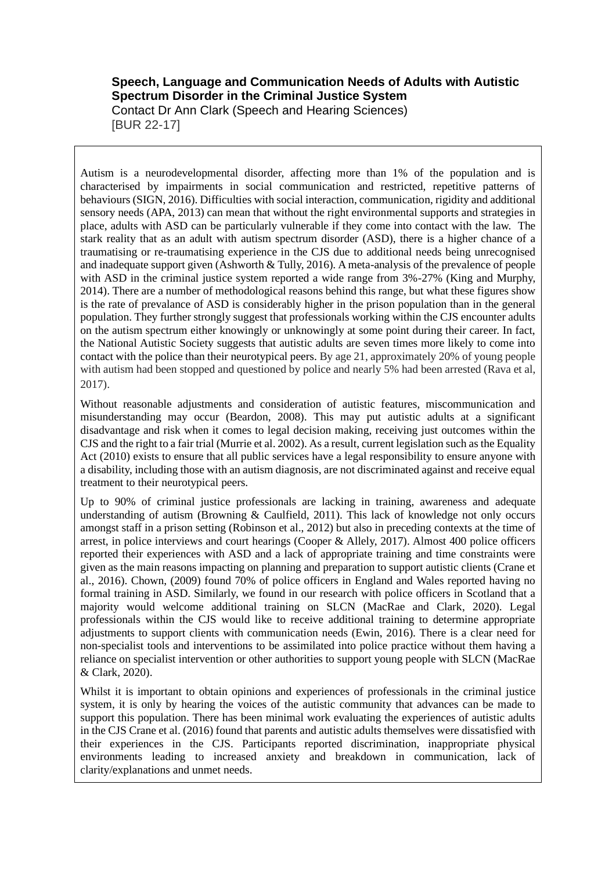### **Speech, Language and Communication Needs of Adults with Autistic Spectrum Disorder in the Criminal Justice System** Contact Dr Ann Clark (Speech and Hearing Sciences)

[BUR 22-17]

Autism is a neurodevelopmental disorder, affecting more than 1% of the population and is characterised by impairments in social communication and restricted, repetitive patterns of behaviours (SIGN, 2016). Difficulties with social interaction, communication, rigidity and additional sensory needs (APA, 2013) can mean that without the right environmental supports and strategies in place, adults with ASD can be particularly vulnerable if they come into contact with the law. The stark reality that as an adult with autism spectrum disorder (ASD), there is a higher chance of a traumatising or re-traumatising experience in the CJS due to additional needs being unrecognised and inadequate support given (Ashworth & Tully, 2016). A meta-analysis of the prevalence of people with ASD in the criminal justice system reported a wide range from  $3\frac{6}{27\%}$  (King and Murphy, 2014). There are a number of methodological reasons behind this range, but what these figures show is the rate of prevalance of ASD is considerably higher in the prison population than in the general population. They further strongly suggest that professionals working within the CJS encounter adults on the autism spectrum either knowingly or unknowingly at some point during their career. In fact, the National Autistic Society suggests that autistic adults are seven times more likely to come into contact with the police than their neurotypical peers. By age 21, approximately 20% of young people with autism had been stopped and questioned by police and nearly 5% had been arrested (Rava et al, 2017).

Without reasonable adjustments and consideration of autistic features, miscommunication and misunderstanding may occur (Beardon, 2008). This may put autistic adults at a significant disadvantage and risk when it comes to legal decision making, receiving just outcomes within the CJS and the right to a fair trial (Murrie et al. 2002). As a result, current legislation such as the Equality Act (2010) exists to ensure that all public services have a legal responsibility to ensure anyone with a disability, including those with an autism diagnosis, are not discriminated against and receive equal treatment to their neurotypical peers.

Up to 90% of criminal justice professionals are lacking in training, awareness and adequate understanding of autism (Browning & Caulfield, 2011). This lack of knowledge not only occurs amongst staff in a prison setting (Robinson et al., 2012) but also in preceding contexts at the time of arrest, in police interviews and court hearings (Cooper & Allely, 2017). Almost 400 police officers reported their experiences with ASD and a lack of appropriate training and time constraints were given as the main reasons impacting on planning and preparation to support autistic clients (Crane et al., 2016). Chown, (2009) found 70% of police officers in England and Wales reported having no formal training in ASD. Similarly, we found in our research with police officers in Scotland that a majority would welcome additional training on SLCN (MacRae and Clark, 2020). Legal professionals within the CJS would like to receive additional training to determine appropriate adjustments to support clients with communication needs (Ewin, 2016). There is a clear need for non-specialist tools and interventions to be assimilated into police practice without them having a reliance on specialist intervention or other authorities to support young people with SLCN (MacRae & Clark, 2020).

Whilst it is important to obtain opinions and experiences of professionals in the criminal justice system, it is only by hearing the voices of the autistic community that advances can be made to support this population. There has been minimal work evaluating the experiences of autistic adults in the CJS Crane et al. (2016) found that parents and autistic adults themselves were dissatisfied with their experiences in the CJS. Participants reported discrimination, inappropriate physical environments leading to increased anxiety and breakdown in communication, lack of clarity/explanations and unmet needs.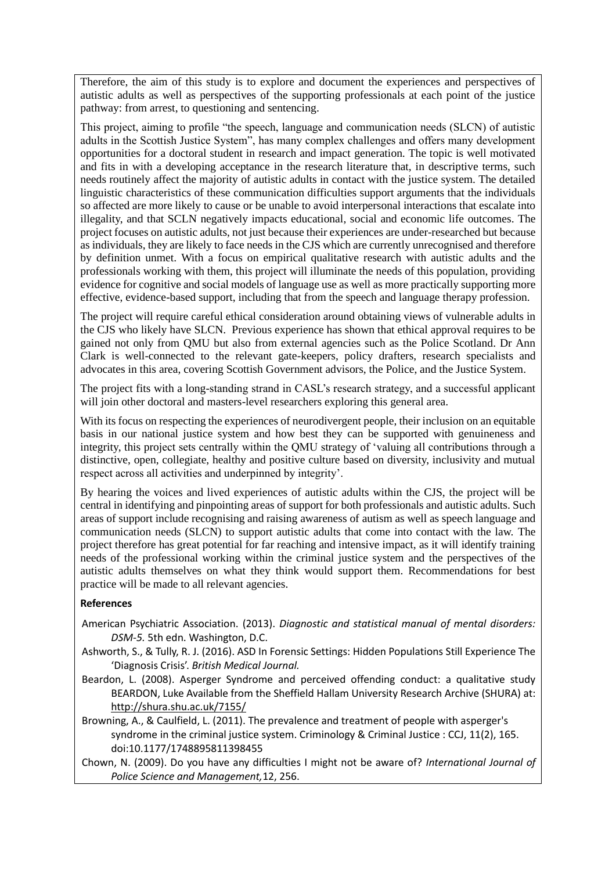Therefore, the aim of this study is to explore and document the experiences and perspectives of autistic adults as well as perspectives of the supporting professionals at each point of the justice pathway: from arrest, to questioning and sentencing.

This project, aiming to profile "the speech, language and communication needs (SLCN) of autistic adults in the Scottish Justice System", has many complex challenges and offers many development opportunities for a doctoral student in research and impact generation. The topic is well motivated and fits in with a developing acceptance in the research literature that, in descriptive terms, such needs routinely affect the majority of autistic adults in contact with the justice system. The detailed linguistic characteristics of these communication difficulties support arguments that the individuals so affected are more likely to cause or be unable to avoid interpersonal interactions that escalate into illegality, and that SCLN negatively impacts educational, social and economic life outcomes. The project focuses on autistic adults, not just because their experiences are under-researched but because as individuals, they are likely to face needs in the CJS which are currently unrecognised and therefore by definition unmet. With a focus on empirical qualitative research with autistic adults and the professionals working with them, this project will illuminate the needs of this population, providing evidence for cognitive and social models of language use as well as more practically supporting more effective, evidence-based support, including that from the speech and language therapy profession.

The project will require careful ethical consideration around obtaining views of vulnerable adults in the CJS who likely have SLCN. Previous experience has shown that ethical approval requires to be gained not only from QMU but also from external agencies such as the Police Scotland. Dr Ann Clark is well-connected to the relevant gate-keepers, policy drafters, research specialists and advocates in this area, covering Scottish Government advisors, the Police, and the Justice System.

The project fits with a long-standing strand in CASL's research strategy, and a successful applicant will join other doctoral and masters-level researchers exploring this general area.

With its focus on respecting the experiences of neurodivergent people, their inclusion on an equitable basis in our national justice system and how best they can be supported with genuineness and integrity, this project sets centrally within the QMU strategy of 'valuing all contributions through a distinctive, open, collegiate, healthy and positive culture based on diversity, inclusivity and mutual respect across all activities and underpinned by integrity'.

By hearing the voices and lived experiences of autistic adults within the CJS, the project will be central in identifying and pinpointing areas of support for both professionals and autistic adults. Such areas of support include recognising and raising awareness of autism as well as speech language and communication needs (SLCN) to support autistic adults that come into contact with the law. The project therefore has great potential for far reaching and intensive impact, as it will identify training needs of the professional working within the criminal justice system and the perspectives of the autistic adults themselves on what they think would support them. Recommendations for best practice will be made to all relevant agencies.

#### **References**

- American Psychiatric Association. (2013). *Diagnostic and statistical manual of mental disorders: DSM-5.* 5th edn. Washington, D.C.
- Ashworth, S., & Tully, R. J. (2016). ASD In Forensic Settings: Hidden Populations Still Experience The 'Diagnosis Crisis'. *British Medical Journal.*
- Beardon, L. (2008). Asperger Syndrome and perceived offending conduct: a qualitative study BEARDON, Luke Available from the Sheffield Hallam University Research Archive (SHURA) at: <http://shura.shu.ac.uk/7155/>
- Browning, A., & Caulfield, L. (2011). The prevalence and treatment of people with asperger's syndrome in the criminal justice system. Criminology & Criminal Justice : CCJ, 11(2), 165. doi:10.1177/1748895811398455
- Chown, N. (2009). Do you have any difficulties I might not be aware of? *International Journal of Police Science and Management,*12, 256.